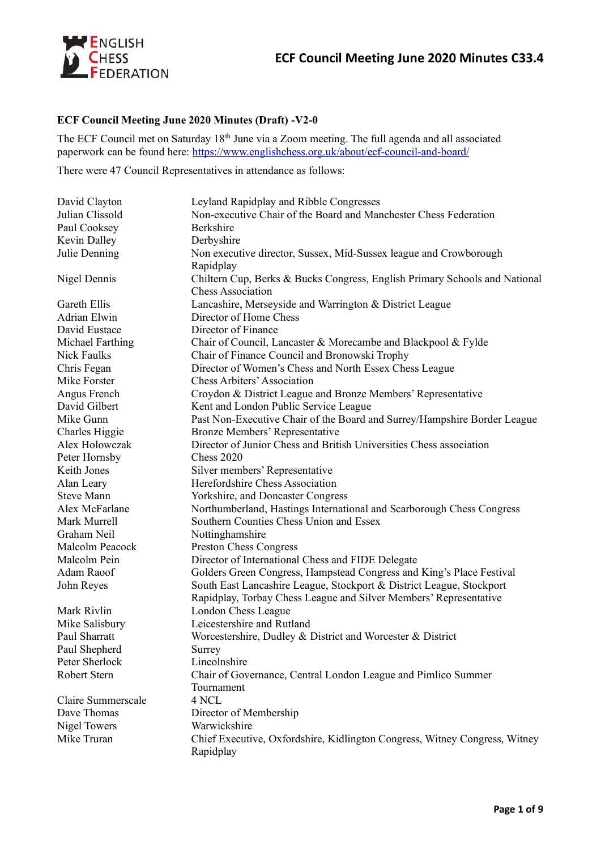

# **ECF Council Meeting June 2020 Minutes (Draft) -V2-0**

The ECF Council met on Saturday 18<sup>th</sup> June via a Zoom meeting. The full agenda and all associated paperwork can be found here:<https://www.englishchess.org.uk/about/ecf-council-and-board/>

There were 47 Council Representatives in attendance as follows:

| David Clayton       | Leyland Rapidplay and Ribble Congresses                                    |
|---------------------|----------------------------------------------------------------------------|
| Julian Clissold     | Non-executive Chair of the Board and Manchester Chess Federation           |
| Paul Cooksey        | Berkshire                                                                  |
| Kevin Dalley        | Derbyshire                                                                 |
| Julie Denning       | Non executive director, Sussex, Mid-Sussex league and Crowborough          |
|                     | Rapidplay                                                                  |
| Nigel Dennis        | Chiltern Cup, Berks & Bucks Congress, English Primary Schools and National |
|                     | <b>Chess Association</b>                                                   |
| Gareth Ellis        | Lancashire, Merseyside and Warrington & District League                    |
| Adrian Elwin        | Director of Home Chess                                                     |
| David Eustace       | Director of Finance                                                        |
| Michael Farthing    | Chair of Council, Lancaster & Morecambe and Blackpool & Fylde              |
| Nick Faulks         | Chair of Finance Council and Bronowski Trophy                              |
| Chris Fegan         | Director of Women's Chess and North Essex Chess League                     |
| Mike Forster        | <b>Chess Arbiters' Association</b>                                         |
| Angus French        | Croydon & District League and Bronze Members' Representative               |
| David Gilbert       | Kent and London Public Service League                                      |
| Mike Gunn           | Past Non-Executive Chair of the Board and Surrey/Hampshire Border League   |
| Charles Higgie      | <b>Bronze Members' Representative</b>                                      |
| Alex Holowczak      | Director of Junior Chess and British Universities Chess association        |
| Peter Hornsby       | <b>Chess 2020</b>                                                          |
| Keith Jones         | Silver members' Representative                                             |
| Alan Leary          | Herefordshire Chess Association                                            |
| <b>Steve Mann</b>   | Yorkshire, and Doncaster Congress                                          |
| Alex McFarlane      | Northumberland, Hastings International and Scarborough Chess Congress      |
| Mark Murrell        | Southern Counties Chess Union and Essex                                    |
| Graham Neil         | Nottinghamshire                                                            |
| Malcolm Peacock     | Preston Chess Congress                                                     |
| Malcolm Pein        | Director of International Chess and FIDE Delegate                          |
| Adam Raoof          | Golders Green Congress, Hampstead Congress and King's Place Festival       |
| John Reyes          | South East Lancashire League, Stockport & District League, Stockport       |
|                     | Rapidplay, Torbay Chess League and Silver Members' Representative          |
| Mark Rivlin         | London Chess League                                                        |
| Mike Salisbury      | Leicestershire and Rutland                                                 |
| Paul Sharratt       | Worcestershire, Dudley & District and Worcester & District                 |
| Paul Shepherd       | Surrey                                                                     |
| Peter Sherlock      | Lincolnshire                                                               |
| Robert Stern        | Chair of Governance, Central London League and Pimlico Summer              |
|                     | Tournament                                                                 |
| Claire Summerscale  | 4 NCL                                                                      |
| Dave Thomas         | Director of Membership                                                     |
| <b>Nigel Towers</b> | Warwickshire                                                               |
| Mike Truran         | Chief Executive, Oxfordshire, Kidlington Congress, Witney Congress, Witney |
|                     | Rapidplay                                                                  |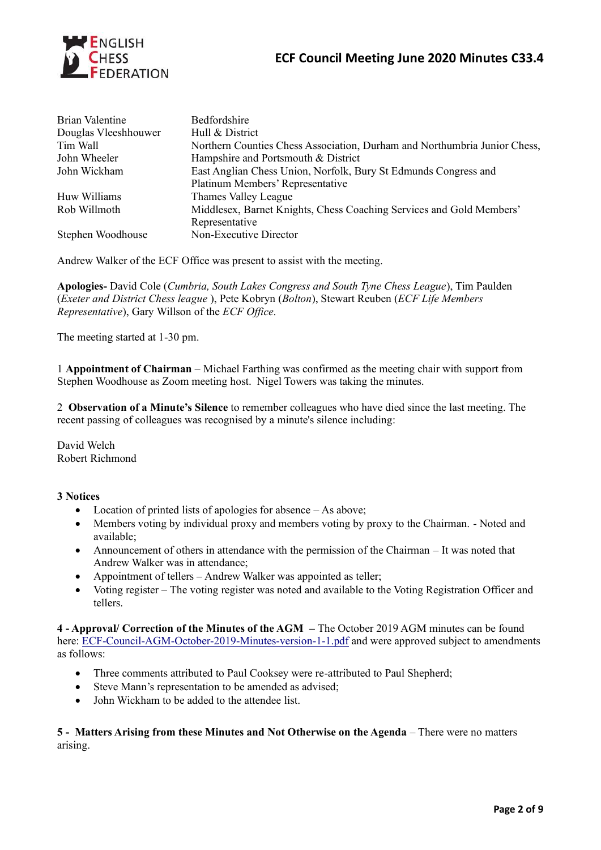

| Bedfordshire                                                              |
|---------------------------------------------------------------------------|
| Hull & District                                                           |
| Northern Counties Chess Association, Durham and Northumbria Junior Chess, |
| Hampshire and Portsmouth & District                                       |
| East Anglian Chess Union, Norfolk, Bury St Edmunds Congress and           |
| Platinum Members' Representative                                          |
| Thames Valley League                                                      |
| Middlesex, Barnet Knights, Chess Coaching Services and Gold Members'      |
| Representative                                                            |
| Non-Executive Director                                                    |
|                                                                           |

Andrew Walker of the ECF Office was present to assist with the meeting.

**Apologies-** David Cole (*Cumbria, South Lakes Congress and South Tyne Chess League*), Tim Paulden (*Exeter and District Chess league* ), Pete Kobryn (*Bolton*), Stewart Reuben (*ECF Life Members Representative*), Gary Willson of the *ECF Office*.

The meeting started at 1-30 pm.

1 **Appointment of Chairman** – Michael Farthing was confirmed as the meeting chair with support from Stephen Woodhouse as Zoom meeting host. Nigel Towers was taking the minutes.

2 **Observation of a Minute's Silence** to remember colleagues who have died since the last meeting. The recent passing of colleagues was recognised by a minute's silence including:

David Welch Robert Richmond

### **3 Notices**

- Location of printed lists of apologies for absence As above;
- Members voting by individual proxy and members voting by proxy to the Chairman. Noted and available;
- Announcement of others in attendance with the permission of the Chairman It was noted that Andrew Walker was in attendance;
- Appointment of tellers Andrew Walker was appointed as teller;
- Voting register The voting register was noted and available to the Voting Registration Officer and tellers.

**4 - Approval/ Correction of the Minutes of the AGM –** The October 2019 AGM minutes can be found here: [ECF-Council-AGM-October-2019-Minutes-version-1-1.pdf](https://www.englishchess.org.uk/wp-content/uploads/2019/10/ECF-Council-AGM-October-2019-Minutes-version-1-1.pdf) and were approved subject to amendments as follows:

- Three comments attributed to Paul Cooksey were re-attributed to Paul Shepherd;
- Steve Mann's representation to be amended as advised;
- John Wickham to be added to the attendee list.

**5 - Matters Arising from these Minutes and Not Otherwise on the Agenda** – There were no matters arising.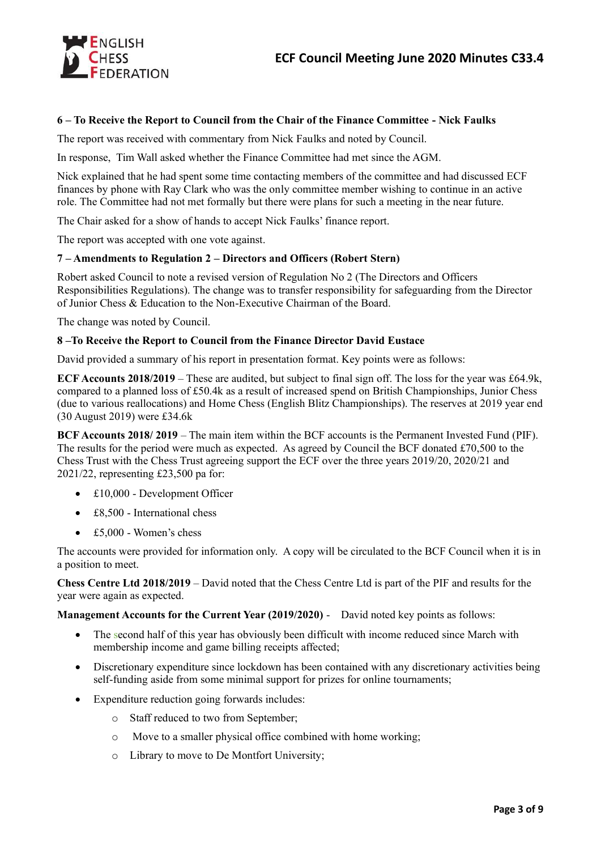

# **6 – To Receive the Report to Council from the Chair of the Finance Committee - Nick Faulks**

The report was received with commentary from Nick Faulks and noted by Council.

In response, Tim Wall asked whether the Finance Committee had met since the AGM.

Nick explained that he had spent some time contacting members of the committee and had discussed ECF finances by phone with Ray Clark who was the only committee member wishing to continue in an active role. The Committee had not met formally but there were plans for such a meeting in the near future.

The Chair asked for a show of hands to accept Nick Faulks' finance report.

The report was accepted with one vote against.

#### **7 – Amendments to Regulation 2 – Directors and Officers (Robert Stern)**

Robert asked Council to note a revised version of Regulation No 2 (The Directors and Officers Responsibilities Regulations). The change was to transfer responsibility for safeguarding from the Director of Junior Chess & Education to the Non-Executive Chairman of the Board.

The change was noted by Council.

#### **8 –To Receive the Report to Council from the Finance Director David Eustace**

David provided a summary of his report in presentation format. Key points were as follows:

**ECF Accounts 2018/2019** – These are audited, but subject to final sign off. The loss for the year was £64.9k, compared to a planned loss of £50.4k as a result of increased spend on British Championships, Junior Chess (due to various reallocations) and Home Chess (English Blitz Championships). The reserves at 2019 year end (30 August 2019) were £34.6k

**BCF Accounts 2018/ 2019** – The main item within the BCF accounts is the Permanent Invested Fund (PIF). The results for the period were much as expected. As agreed by Council the BCF donated £70,500 to the Chess Trust with the Chess Trust agreeing support the ECF over the three years 2019/20, 2020/21 and 2021/22, representing £23,500 pa for:

- £10,000 Development Officer
- £8,500 International chess
- £5,000 Women's chess

The accounts were provided for information only. A copy will be circulated to the BCF Council when it is in a position to meet.

**Chess Centre Ltd 2018/2019** – David noted that the Chess Centre Ltd is part of the PIF and results for the year were again as expected.

**Management Accounts for the Current Year (2019/2020)** - David noted key points as follows:

- The second half of this year has obviously been difficult with income reduced since March with membership income and game billing receipts affected;
- Discretionary expenditure since lockdown has been contained with any discretionary activities being self-funding aside from some minimal support for prizes for online tournaments;
- Expenditure reduction going forwards includes:
	- o Staff reduced to two from September;
	- o Move to a smaller physical office combined with home working;
	- o Library to move to De Montfort University;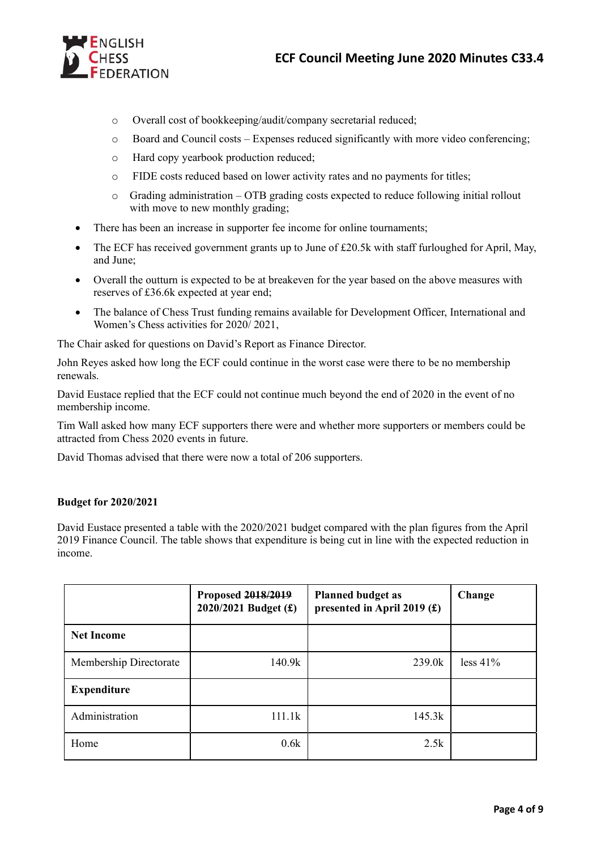

- o Overall cost of bookkeeping/audit/company secretarial reduced;
- $\circ$  Board and Council costs Expenses reduced significantly with more video conferencing;
- o Hard copy yearbook production reduced;
- o FIDE costs reduced based on lower activity rates and no payments for titles;
- $\circ$  Grading administration OTB grading costs expected to reduce following initial rollout with move to new monthly grading;
- There has been an increase in supporter fee income for online tournaments;
- The ECF has received government grants up to June of £20.5k with staff furloughed for April, May, and June;
- Overall the outturn is expected to be at breakeven for the year based on the above measures with reserves of £36.6k expected at year end;
- The balance of Chess Trust funding remains available for Development Officer, International and Women's Chess activities for 2020/ 2021,

The Chair asked for questions on David's Report as Finance Director.

John Reyes asked how long the ECF could continue in the worst case were there to be no membership renewals.

David Eustace replied that the ECF could not continue much beyond the end of 2020 in the event of no membership income.

Tim Wall asked how many ECF supporters there were and whether more supporters or members could be attracted from Chess 2020 events in future.

David Thomas advised that there were now a total of 206 supporters.

# **Budget for 2020/2021**

David Eustace presented a table with the 2020/2021 budget compared with the plan figures from the April 2019 Finance Council. The table shows that expenditure is being cut in line with the expected reduction in income.

|                        | Proposed 2018/2019<br>2020/2021 Budget (£) | <b>Planned budget as</b><br>presented in April 2019 $(f)$ | Change      |
|------------------------|--------------------------------------------|-----------------------------------------------------------|-------------|
| <b>Net Income</b>      |                                            |                                                           |             |
| Membership Directorate | 140.9k                                     | 239.0k                                                    | $less 41\%$ |
| <b>Expenditure</b>     |                                            |                                                           |             |
| Administration         | 111.1k                                     | 145.3k                                                    |             |
| Home                   | 0.6k                                       | 2.5k                                                      |             |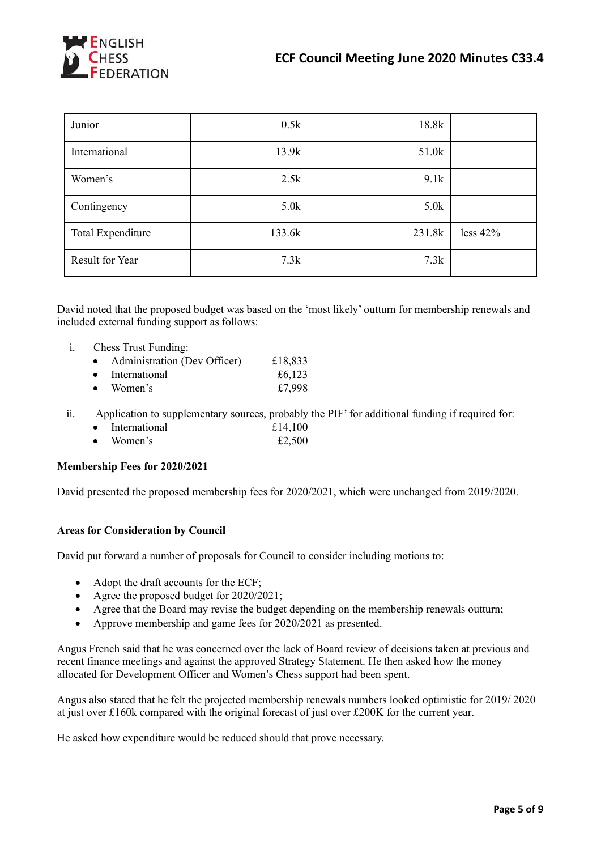

| Junior                   | 0.5k   | 18.8k  |            |
|--------------------------|--------|--------|------------|
| International            | 13.9k  | 51.0k  |            |
| Women's                  | 2.5k   | 9.1k   |            |
| Contingency              | 5.0k   | 5.0k   |            |
| <b>Total Expenditure</b> | 133.6k | 231.8k | less $42%$ |
| Result for Year          | 7.3k   | 7.3k   |            |

David noted that the proposed budget was based on the 'most likely' outturn for membership renewals and included external funding support as follows:

i. Chess Trust Funding:

| $\bullet$ | Administration (Dev Officer) | £18,833 |
|-----------|------------------------------|---------|
|           | • International              | £6,123  |
| $\bullet$ | Women's                      | £7,998  |

- ii. Application to supplementary sources, probably the PIF' for additional funding if required for:
	- International  $£14,100$
	- Women's  $\pounds 2,500$

### **Membership Fees for 2020/2021**

David presented the proposed membership fees for 2020/2021, which were unchanged from 2019/2020.

### **Areas for Consideration by Council**

David put forward a number of proposals for Council to consider including motions to:

- Adopt the draft accounts for the ECF;
- Agree the proposed budget for 2020/2021;
- Agree that the Board may revise the budget depending on the membership renewals outturn;
- Approve membership and game fees for 2020/2021 as presented.

Angus French said that he was concerned over the lack of Board review of decisions taken at previous and recent finance meetings and against the approved Strategy Statement. He then asked how the money allocated for Development Officer and Women's Chess support had been spent.

Angus also stated that he felt the projected membership renewals numbers looked optimistic for 2019/ 2020 at just over £160k compared with the original forecast of just over £200K for the current year.

He asked how expenditure would be reduced should that prove necessary.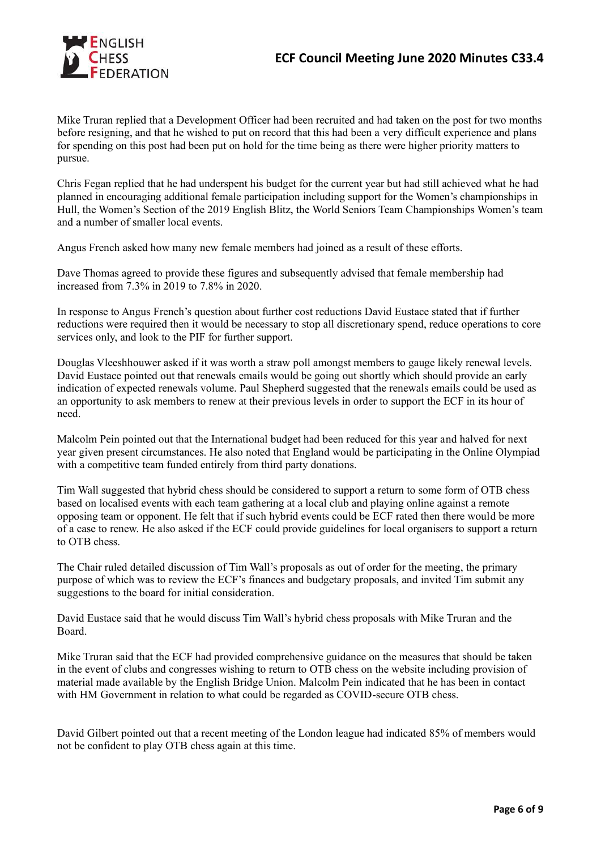

Mike Truran replied that a Development Officer had been recruited and had taken on the post for two months before resigning, and that he wished to put on record that this had been a very difficult experience and plans for spending on this post had been put on hold for the time being as there were higher priority matters to pursue.

Chris Fegan replied that he had underspent his budget for the current year but had still achieved what he had planned in encouraging additional female participation including support for the Women's championships in Hull, the Women's Section of the 2019 English Blitz, the World Seniors Team Championships Women's team and a number of smaller local events.

Angus French asked how many new female members had joined as a result of these efforts.

Dave Thomas agreed to provide these figures and subsequently advised that female membership had increased from 7.3% in 2019 to 7.8% in 2020.

In response to Angus French's question about further cost reductions David Eustace stated that if further reductions were required then it would be necessary to stop all discretionary spend, reduce operations to core services only, and look to the PIF for further support.

Douglas Vleeshhouwer asked if it was worth a straw poll amongst members to gauge likely renewal levels. David Eustace pointed out that renewals emails would be going out shortly which should provide an early indication of expected renewals volume. Paul Shepherd suggested that the renewals emails could be used as an opportunity to ask members to renew at their previous levels in order to support the ECF in its hour of need.

Malcolm Pein pointed out that the International budget had been reduced for this year and halved for next year given present circumstances. He also noted that England would be participating in the Online Olympiad with a competitive team funded entirely from third party donations.

Tim Wall suggested that hybrid chess should be considered to support a return to some form of OTB chess based on localised events with each team gathering at a local club and playing online against a remote opposing team or opponent. He felt that if such hybrid events could be ECF rated then there would be more of a case to renew. He also asked if the ECF could provide guidelines for local organisers to support a return to OTB chess.

The Chair ruled detailed discussion of Tim Wall's proposals as out of order for the meeting, the primary purpose of which was to review the ECF's finances and budgetary proposals, and invited Tim submit any suggestions to the board for initial consideration.

David Eustace said that he would discuss Tim Wall's hybrid chess proposals with Mike Truran and the Board.

Mike Truran said that the ECF had provided comprehensive guidance on the measures that should be taken in the event of clubs and congresses wishing to return to OTB chess on the website including provision of material made available by the English Bridge Union. Malcolm Pein indicated that he has been in contact with HM Government in relation to what could be regarded as COVID-secure OTB chess.

David Gilbert pointed out that a recent meeting of the London league had indicated 85% of members would not be confident to play OTB chess again at this time.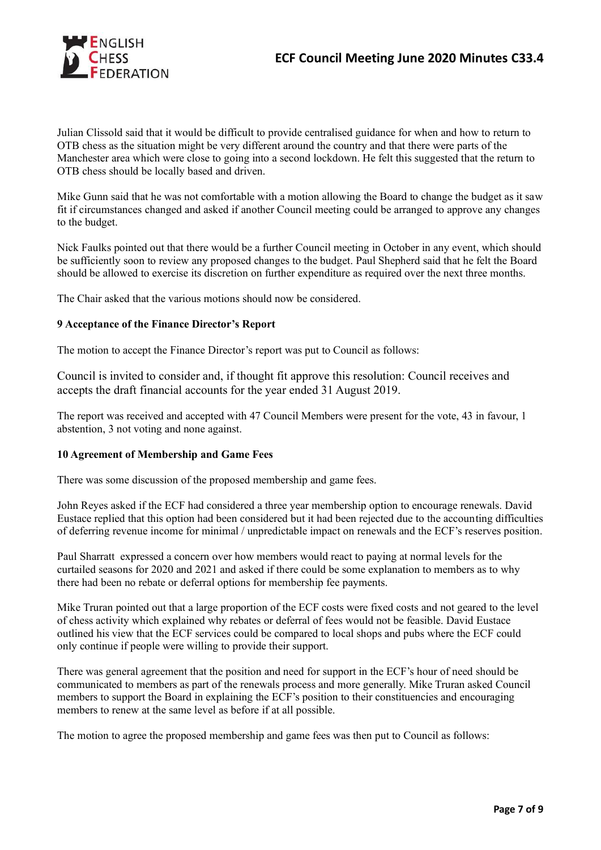

Julian Clissold said that it would be difficult to provide centralised guidance for when and how to return to OTB chess as the situation might be very different around the country and that there were parts of the Manchester area which were close to going into a second lockdown. He felt this suggested that the return to OTB chess should be locally based and driven.

Mike Gunn said that he was not comfortable with a motion allowing the Board to change the budget as it saw fit if circumstances changed and asked if another Council meeting could be arranged to approve any changes to the budget.

Nick Faulks pointed out that there would be a further Council meeting in October in any event, which should be sufficiently soon to review any proposed changes to the budget. Paul Shepherd said that he felt the Board should be allowed to exercise its discretion on further expenditure as required over the next three months.

The Chair asked that the various motions should now be considered.

## **9 Acceptance of the Finance Director's Report**

The motion to accept the Finance Director's report was put to Council as follows:

Council is invited to consider and, if thought fit approve this resolution: Council receives and accepts the draft financial accounts for the year ended 31 August 2019.

The report was received and accepted with 47 Council Members were present for the vote, 43 in favour, 1 abstention, 3 not voting and none against.

### **10 Agreement of Membership and Game Fees**

There was some discussion of the proposed membership and game fees.

John Reyes asked if the ECF had considered a three year membership option to encourage renewals. David Eustace replied that this option had been considered but it had been rejected due to the accounting difficulties of deferring revenue income for minimal / unpredictable impact on renewals and the ECF's reserves position.

Paul Sharratt expressed a concern over how members would react to paying at normal levels for the curtailed seasons for 2020 and 2021 and asked if there could be some explanation to members as to why there had been no rebate or deferral options for membership fee payments.

Mike Truran pointed out that a large proportion of the ECF costs were fixed costs and not geared to the level of chess activity which explained why rebates or deferral of fees would not be feasible. David Eustace outlined his view that the ECF services could be compared to local shops and pubs where the ECF could only continue if people were willing to provide their support.

There was general agreement that the position and need for support in the ECF's hour of need should be communicated to members as part of the renewals process and more generally. Mike Truran asked Council members to support the Board in explaining the ECF's position to their constituencies and encouraging members to renew at the same level as before if at all possible.

The motion to agree the proposed membership and game fees was then put to Council as follows: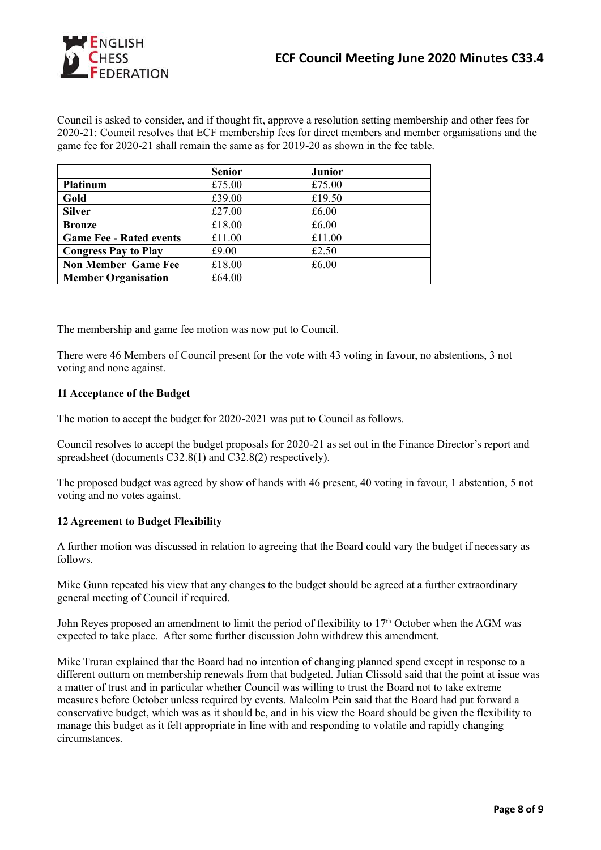

Council is asked to consider, and if thought fit, approve a resolution setting membership and other fees for 2020-21: Council resolves that ECF membership fees for direct members and member organisations and the game fee for 2020-21 shall remain the same as for 2019-20 as shown in the fee table.

|                                | <b>Senior</b> | <b>Junior</b> |  |
|--------------------------------|---------------|---------------|--|
| <b>Platinum</b>                | £75.00        | £75.00        |  |
| Gold                           | £39.00        | £19.50        |  |
| <b>Silver</b>                  | £27.00        | £6.00         |  |
| <b>Bronze</b>                  | £18.00        | £6.00         |  |
| <b>Game Fee - Rated events</b> | £11.00        | £11.00        |  |
| <b>Congress Pay to Play</b>    | £9.00         | £2.50         |  |
| <b>Non Member Game Fee</b>     | £18.00        | £6.00         |  |
| <b>Member Organisation</b>     | £64.00        |               |  |

The membership and game fee motion was now put to Council.

There were 46 Members of Council present for the vote with 43 voting in favour, no abstentions, 3 not voting and none against.

## **11 Acceptance of the Budget**

The motion to accept the budget for 2020-2021 was put to Council as follows.

Council resolves to accept the budget proposals for 2020-21 as set out in the Finance Director's report and spreadsheet (documents C32.8(1) and C32.8(2) respectively).

The proposed budget was agreed by show of hands with 46 present, 40 voting in favour, 1 abstention, 5 not voting and no votes against.

### **12 Agreement to Budget Flexibility**

A further motion was discussed in relation to agreeing that the Board could vary the budget if necessary as follows.

Mike Gunn repeated his view that any changes to the budget should be agreed at a further extraordinary general meeting of Council if required.

John Reyes proposed an amendment to limit the period of flexibility to  $17<sup>th</sup>$  October when the AGM was expected to take place. After some further discussion John withdrew this amendment.

Mike Truran explained that the Board had no intention of changing planned spend except in response to a different outturn on membership renewals from that budgeted. Julian Clissold said that the point at issue was a matter of trust and in particular whether Council was willing to trust the Board not to take extreme measures before October unless required by events. Malcolm Pein said that the Board had put forward a conservative budget, which was as it should be, and in his view the Board should be given the flexibility to manage this budget as it felt appropriate in line with and responding to volatile and rapidly changing circumstances.